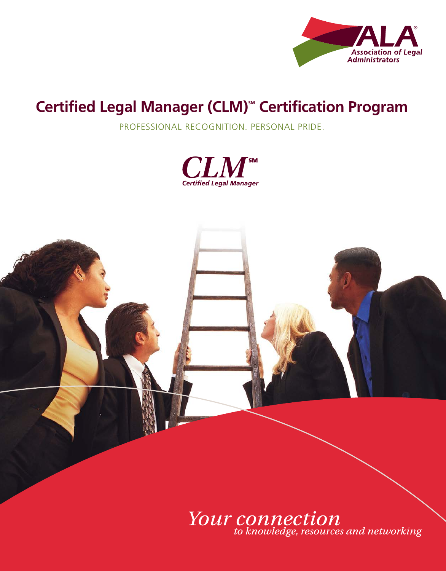

### **Certified Legal Manager (CLM) SM Certification Program**

Professional recognition. Personal Pride.





Your connection<br>to knowledge, resources and networking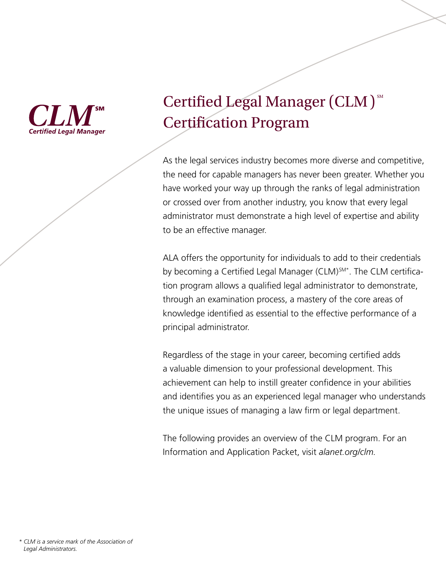

### Certified Legal Manager (CLM) $^{{\rm \tiny SM}}$ Certification Program

As the legal services industry becomes more diverse and competitive, the need for capable managers has never been greater. Whether you have worked your way up through the ranks of legal administration or crossed over from another industry, you know that every legal administrator must demonstrate a high level of expertise and ability to be an effective manager.

ALA offers the opportunity for individuals to add to their credentials by becoming a Certified Legal Manager (CLM)<sup>SM\*</sup>. The CLM certification program allows a qualified legal administrator to demonstrate, through an examination process, a mastery of the core areas of knowledge identified as essential to the effective performance of a principal administrator.

Regardless of the stage in your career, becoming certified adds a valuable dimension to your professional development. This achievement can help to instill greater confidence in your abilities and identifies you as an experienced legal manager who understands the unique issues of managing a law firm or legal department.

The following provides an overview of the CLM program. For an information and application Packet, visit *alanet.org/clm.*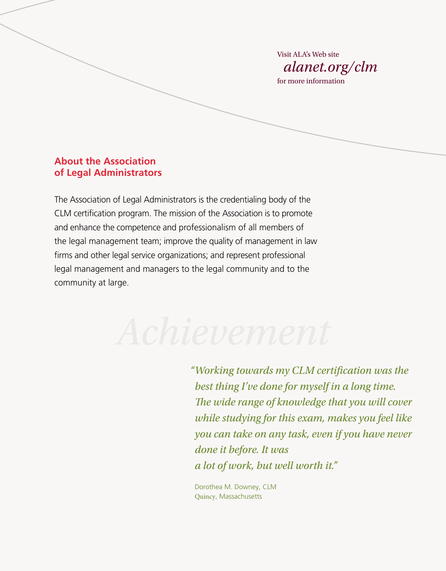Visit ALA's Web site *alanet.org/clm* for more information

### **About the Association of Legal Administrators**

The Association of Legal Administrators is the credentialing body of the CLM certification program. The mission of the Association is to promote and enhance the competence and professionalism of all members of the legal management team; improve the quality of management in law firms and other legal service organizations; and represent professional legal management and managers to the legal community and to the community at large.

*"Working towards my CLM certification was the best thing I've done for myself in a long time. The wide range of knowledge that you will cover while studying for this exam, makes you feel like you can take on any task, even if you have never done it before. It was a lot of work, but well worth it."*

Dorothea M. Downey, CLM Quincy, Massachusetts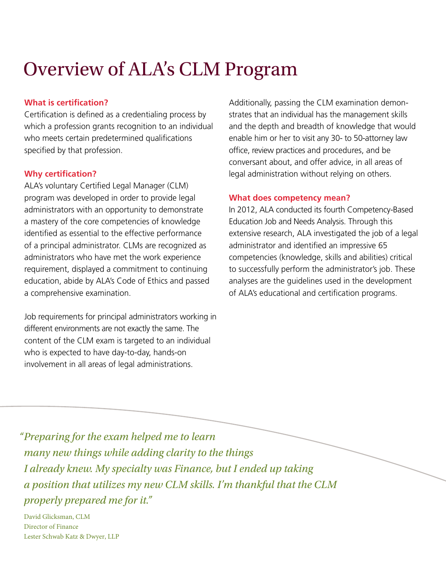### Overview of ALA's CLM Program

### **What is certification?**

Certification is defined as a credentialing process by which a profession grants recognition to an individual who meets certain predetermined qualifications specified by that profession.

### **Why certification?**

ALA's voluntary Certified Legal Manager (CLM) program was developed in order to provide legal administrators with an opportunity to demonstrate a mastery of the core competencies of knowledge identified as essential to the effective performance of a principal administrator. CLMs are recognized as administrators who have met the work experience requirement, displayed a commitment to continuing education, abide by ALA's Code of Ethics and passed a comprehensive examination.

Job requirements for principal administrators working in different environments are not exactly the same. The content of the CLM exam is targeted to an individual who is expected to have day-to-day, hands-on involvement in all areas of legal administrations.

Additionally, passing the CLM examination demonstrates that an individual has the management skills and the depth and breadth of knowledge that would enable him or her to visit any 30- to 50-attorney law office, review practices and procedures, and be conversant about, and offer advice, in all areas of legal administration without relying on others.

### **What does competency mean?**

In 2012, ALA conducted its fourth Competency-Based Education Job and Needs Analysis. Through this extensive research, ALA investigated the job of a legal administrator and identified an impressive 65 competencies (knowledge, skills and abilities) critical to successfully perform the administrator's job. These analyses are the guidelines used in the development of ALA's educational and certification programs.

*"Preparing for the exam helped me to learn many new things while adding clarity to the things I already knew. My specialty was Finance, but I ended up taking a position that utilizes my new CLM skills. I'm thankful that the CLM properly prepared me for it."* 

David Glicksman, CLM Director of Finance Lester Schwab Katz & Dwyer, LLP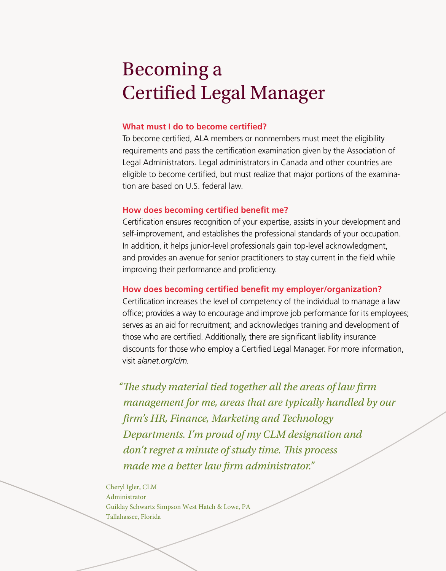### Becoming a Certified Legal Manager

### **What must I do to become certified?**

To become certified, ALA members or nonmembers must meet the eligibility requirements and pass the certification examination given by the Association of legal administrators. legal administrators in canada and other countries are eligible to become certified, but must realize that major portions of the examination are based on U.s. federal law.

#### **How does becoming certified benefit me?**

certification ensures recognition of your expertise, assists in your development and self-improvement, and establishes the professional standards of your occupation. in addition, it helps junior-level professionals gain top-level acknowledgment, and provides an avenue for senior practitioners to stay current in the field while improving their performance and proficiency.

#### **How does becoming certified benefit my employer/organization?**

certification increases the level of competency of the individual to manage a law office; provides a way to encourage and improve job performance for its employees; serves as an aid for recruitment; and acknowledges training and development of those who are certified. Additionally, there are significant liability insurance discounts for those who employ a certified legal Manager. for more information, visit *alanet.org/clm.* 

*"The study material tied together all the areas of law firm management for me, areas that are typically handled by our firm's HR, Finance, Marketing and Technology Departments. I'm proud of my CLM designation and don't regret a minute of study time. This process made me a better law firm administrator."*

Cheryl Igler, CLM Administrator Guilday Schwartz Simpson West Hatch & Lowe, PA Tallahassee, Florida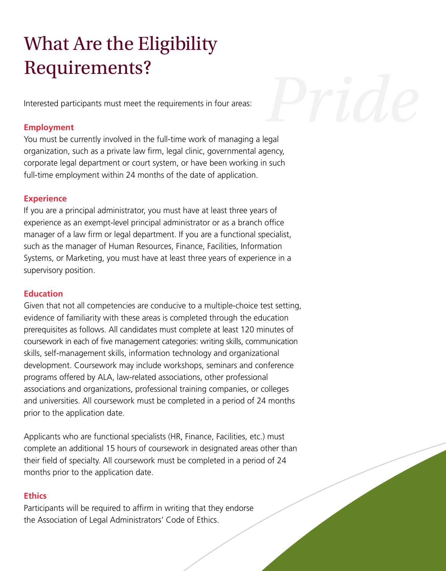## What Are the Eligibility Requirements?

Interested participants must meet the requirements in four areas:

### **Employment**

You must be currently involved in the full-time work of managing a legal organization, such as a private law firm, legal clinic, governmental agency, corporate legal department or court system, or have been working in such full-time employment within 24 months of the date of application. *Pride*

### **Experience**

if you are a principal administrator, you must have at least three years of experience as an exempt-level principal administrator or as a branch office manager of a law firm or legal department. if you are a functional specialist, such as the manager of Human Resources, Finance, Facilities, Information systems, or Marketing, you must have at least three years of experience in a supervisory position.

### **Education**

Given that not all competencies are conducive to a multiple-choice test setting, evidence of familiarity with these areas is completed through the education prerequisites as follows. All candidates must complete at least 120 minutes of coursework in each of five management categories: writing skills, communication skills, self-management skills, information technology and organizational development. Coursework may include workshops, seminars and conference programs offered by ALA, law-related associations, other professional associations and organizations, professional training companies, or colleges and universities. All coursework must be completed in a period of 24 months prior to the application date.

Applicants who are functional specialists (HR, Finance, Facilities, etc.) must complete an additional 15 hours of coursework in designated areas other than their field of specialty. All coursework must be completed in a period of 24 months prior to the application date.

#### **Ethics**

Participants will be required to affirm in writing that they endorse the Association of Legal Administrators' Code of Ethics.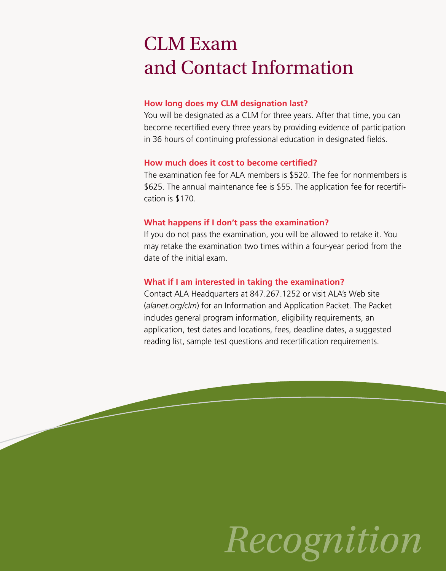### CLM Exam and Contact Information

### **How long does my CLM designation last?**

You will be designated as a CLM for three years. After that time, you can become recertified every three years by providing evidence of participation in 36 hours of continuing professional education in designated fields.

### **How much does it cost to become certified?**

The examination fee for ALA members is \$520. The fee for nonmembers is \$625. the annual maintenance fee is \$55. the application fee for recertification is \$170.

### **What happens if I don't pass the examination?**

if you do not pass the examination, you will be allowed to retake it. You may retake the examination two times within a four-year period from the date of the initial exam.

### **What if I am interested in taking the examination?**

Contact ALA Headquarters at 847.267.1252 or visit ALA's Web site (*alanet.org/clm*) for an Information and Application Packet. The Packet includes general program information, eligibility requirements, an application, test dates and locations, fees, deadline dates, a suggested reading list, sample test questions and recertification requirements.

# *Recognition*